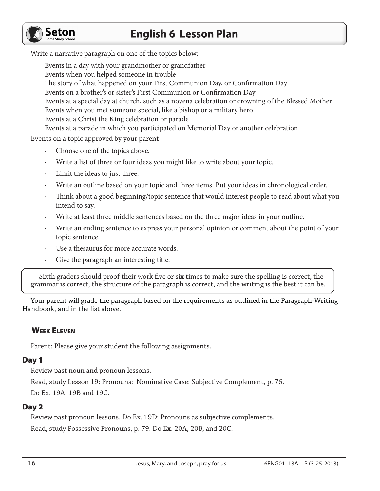# **English 6 Lesson Plan**



Write a narrative paragraph on one of the topics below:

Events in a day with your grandmother or grandfather Events when you helped someone in trouble The story of what happened on your First Communion Day, or Confirmation Day Events on a brother's or sister's First Communion or Confirmation Day Events at a special day at church, such as a novena celebration or crowning of the Blessed Mother Events when you met someone special, like a bishop or a military hero Events at a Christ the King celebration or parade Events at a parade in which you participated on Memorial Day or another celebration

Events on a topic approved by your parent

- Choose one of the topics above.
- Write a list of three or four ideas you might like to write about your topic.
- Limit the ideas to just three.
- Write an outline based on your topic and three items. Put your ideas in chronological order.
- · Think about a good beginning/topic sentence that would interest people to read about what you intend to say.
- Write at least three middle sentences based on the three major ideas in your outline.
- Write an ending sentence to express your personal opinion or comment about the point of your topic sentence.
- Use a thesaurus for more accurate words.
- Give the paragraph an interesting title.

Sixth graders should proof their work five or six times to make sure the spelling is correct, the grammar is correct, the structure of the paragraph is correct, and the writing is the best it can be.

Your parent will grade the paragraph based on the requirements as outlined in the Paragraph-Writing Handbook, and in the list above.

## Week Eleven

Parent: Please give your student the following assignments.

## Day 1

Review past noun and pronoun lessons.

Read, study Lesson 19: Pronouns: Nominative Case: Subjective Complement, p. 76. Do Ex. 19A, 19B and 19C.

### Day 2

Review past pronoun lessons. Do Ex. 19D: Pronouns as subjective complements. Read, study Possessive Pronouns, p. 79. Do Ex. 20A, 20B, and 20C.